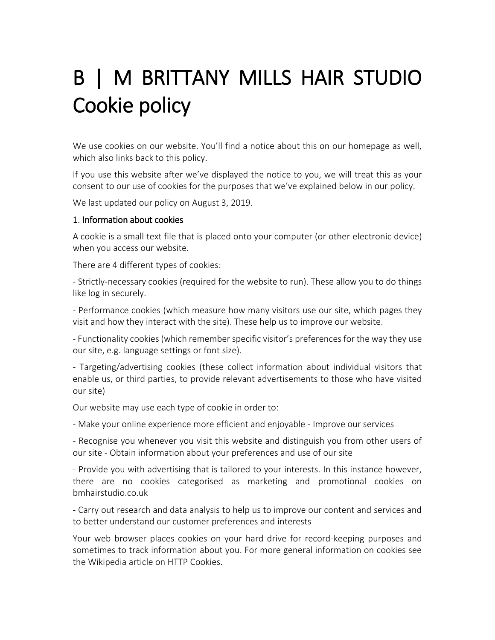# B | M BRITTANY MILLS HAIR STUDIO Cookie policy

We use cookies on our website. You'll find a notice about this on our homepage as well, which also links back to this policy.

If you use this website after we've displayed the notice to you, we will treat this as your consent to our use of cookies for the purposes that we've explained below in our policy.

We last updated our policy on August 3, 2019.

## 1. Information about cookies

A cookie is a small text file that is placed onto your computer (or other electronic device) when you access our website.

There are 4 different types of cookies:

- Strictly-necessary cookies (required for the website to run). These allow you to do things like log in securely.

- Performance cookies (which measure how many visitors use our site, which pages they visit and how they interact with the site). These help us to improve our website.

- Functionality cookies (which remember specific visitor's preferences for the way they use our site, e.g. language settings or font size).

- Targeting/advertising cookies (these collect information about individual visitors that enable us, or third parties, to provide relevant advertisements to those who have visited our site)

Our website may use each type of cookie in order to:

- Make your online experience more efficient and enjoyable - Improve our services

- Recognise you whenever you visit this website and distinguish you from other users of our site - Obtain information about your preferences and use of our site

- Provide you with advertising that is tailored to your interests. In this instance however, there are no cookies categorised as marketing and promotional cookies on bmhairstudio.co.uk

- Carry out research and data analysis to help us to improve our content and services and to better understand our customer preferences and interests

Your web browser places cookies on your hard drive for record-keeping purposes and sometimes to track information about you. For more general information on cookies see the Wikipedia article on HTTP Cookies.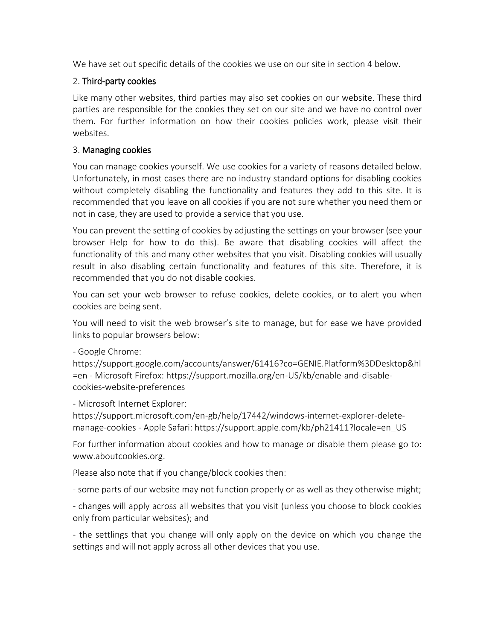We have set out specific details of the cookies we use on our site in section 4 below.

### 2. Third-party cookies

Like many other websites, third parties may also set cookies on our website. These third parties are responsible for the cookies they set on our site and we have no control over them. For further information on how their cookies policies work, please visit their websites.

#### 3. Managing cookies

You can manage cookies yourself. We use cookies for a variety of reasons detailed below. Unfortunately, in most cases there are no industry standard options for disabling cookies without completely disabling the functionality and features they add to this site. It is recommended that you leave on all cookies if you are not sure whether you need them or not in case, they are used to provide a service that you use.

You can prevent the setting of cookies by adjusting the settings on your browser (see your browser Help for how to do this). Be aware that disabling cookies will affect the functionality of this and many other websites that you visit. Disabling cookies will usually result in also disabling certain functionality and features of this site. Therefore, it is recommended that you do not disable cookies.

You can set your web browser to refuse cookies, delete cookies, or to alert you when cookies are being sent.

You will need to visit the web browser's site to manage, but for ease we have provided links to popular browsers below:

- Google Chrome:

https://support.google.com/accounts/answer/61416?co=GENIE.Platform%3DDesktop&hl =en - Microsoft Firefox: https://support.mozilla.org/en-US/kb/enable-and-disablecookies-website-preferences

- Microsoft Internet Explorer:

https://support.microsoft.com/en-gb/help/17442/windows-internet-explorer-deletemanage-cookies - Apple Safari: https://support.apple.com/kb/ph21411?locale=en\_US

For further information about cookies and how to manage or disable them please go to: www.aboutcookies.org.

Please also note that if you change/block cookies then:

- some parts of our website may not function properly or as well as they otherwise might;

- changes will apply across all websites that you visit (unless you choose to block cookies only from particular websites); and

- the settlings that you change will only apply on the device on which you change the settings and will not apply across all other devices that you use.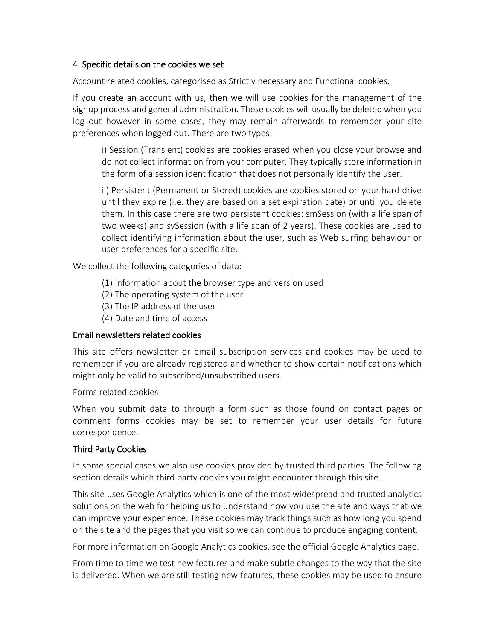#### 4. Specific details on the cookies we set

Account related cookies, categorised as Strictly necessary and Functional cookies.

If you create an account with us, then we will use cookies for the management of the signup process and general administration. These cookies will usually be deleted when you log out however in some cases, they may remain afterwards to remember your site preferences when logged out. There are two types:

i) Session (Transient) cookies are cookies erased when you close your browse and do not collect information from your computer. They typically store information in the form of a session identification that does not personally identify the user.

ii) Persistent (Permanent or Stored) cookies are cookies stored on your hard drive until they expire (i.e. they are based on a set expiration date) or until you delete them. In this case there are two persistent cookies: smSession (with a life span of two weeks) and svSession (with a life span of 2 years). These cookies are used to collect identifying information about the user, such as Web surfing behaviour or user preferences for a specific site.

We collect the following categories of data:

- (1) Information about the browser type and version used
- (2) The operating system of the user
- (3) The IP address of the user
- (4) Date and time of access

## Email newsletters related cookies

This site offers newsletter or email subscription services and cookies may be used to remember if you are already registered and whether to show certain notifications which might only be valid to subscribed/unsubscribed users.

Forms related cookies

When you submit data to through a form such as those found on contact pages or comment forms cookies may be set to remember your user details for future correspondence.

## Third Party Cookies

In some special cases we also use cookies provided by trusted third parties. The following section details which third party cookies you might encounter through this site.

This site uses Google Analytics which is one of the most widespread and trusted analytics solutions on the web for helping us to understand how you use the site and ways that we can improve your experience. These cookies may track things such as how long you spend on the site and the pages that you visit so we can continue to produce engaging content.

For more information on Google Analytics cookies, see the official Google Analytics page.

From time to time we test new features and make subtle changes to the way that the site is delivered. When we are still testing new features, these cookies may be used to ensure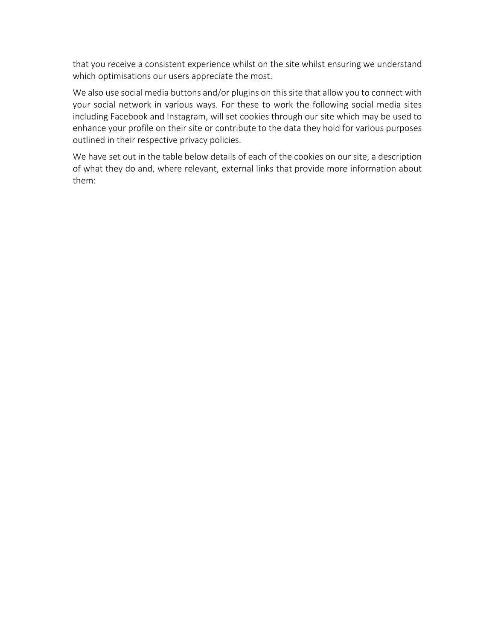that you receive a consistent experience whilst on the site whilst ensuring we understand which optimisations our users appreciate the most.

We also use social media buttons and/or plugins on this site that allow you to connect with your social network in various ways. For these to work the following social media sites including Facebook and Instagram, will set cookies through our site which may be used to enhance your profile on their site or contribute to the data they hold for various purposes outlined in their respective privacy policies.

We have set out in the table below details of each of the cookies on our site, a description of what they do and, where relevant, external links that provide more information about them: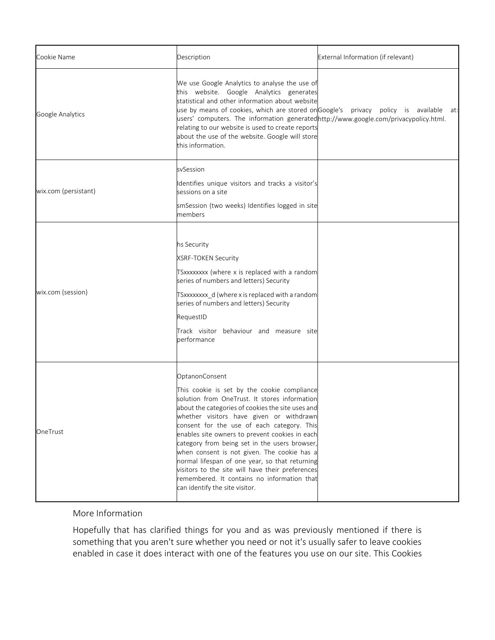| Cookie Name          | Description                                                                                                                                                                                                                                                                                                                                                                                                                                                                                                                                                                                            | External Information (if relevant)                                                   |
|----------------------|--------------------------------------------------------------------------------------------------------------------------------------------------------------------------------------------------------------------------------------------------------------------------------------------------------------------------------------------------------------------------------------------------------------------------------------------------------------------------------------------------------------------------------------------------------------------------------------------------------|--------------------------------------------------------------------------------------|
| Google Analytics     | We use Google Analytics to analyse the use of<br>this website. Google Analytics generates<br>statistical and other information about website<br>users' computers. The information generatedhttp://www.google.com/privacypolicy.html.<br>relating to our website is used to create reports<br>about the use of the website. Google will store<br>this information.                                                                                                                                                                                                                                      | use by means of cookies, which are stored onGoogle's privacy policy is available at: |
| wix.com (persistant) | svSession                                                                                                                                                                                                                                                                                                                                                                                                                                                                                                                                                                                              |                                                                                      |
|                      | Identifies unique visitors and tracks a visitor's<br>sessions on a site                                                                                                                                                                                                                                                                                                                                                                                                                                                                                                                                |                                                                                      |
|                      | smSession (two weeks) Identifies logged in site<br>members                                                                                                                                                                                                                                                                                                                                                                                                                                                                                                                                             |                                                                                      |
| wix.com (session)    | hs Security<br>XSRF-TOKEN Security<br>TSxxxxxxxx (where x is replaced with a random<br>series of numbers and letters) Security<br>TSxxxxxxxx_d (where x is replaced with a random<br>series of numbers and letters) Security<br>RequestID<br>Track visitor behaviour and measure site<br>performance                                                                                                                                                                                                                                                                                                   |                                                                                      |
| OneTrust             | OptanonConsent<br>This cookie is set by the cookie compliance<br>solution from OneTrust. It stores information<br>about the categories of cookies the site uses and<br>whether visitors have given or withdrawn<br>consent for the use of each category. This<br>enables site owners to prevent cookies in each<br>category from being set in the users browser,<br>when consent is not given. The cookie has a<br>normal lifespan of one year, so that returning<br>visitors to the site will have their preferences<br>remembered. It contains no information that<br>can identify the site visitor. |                                                                                      |

More Information

Hopefully that has clarified things for you and as was previously mentioned if there is something that you aren't sure whether you need or not it's usually safer to leave cookies enabled in case it does interact with one of the features you use on our site. This Cookies